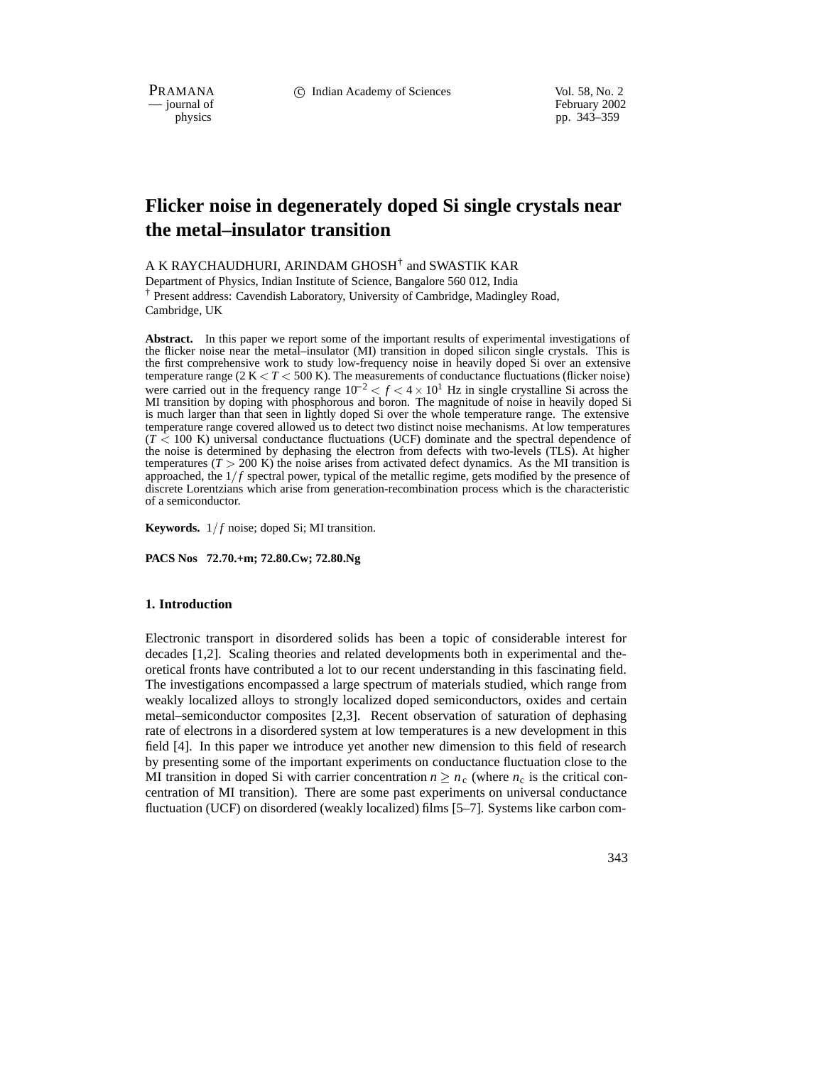position of the set of the set of the set of the set of the set of the set of the set of the set of the set of the set of the set of the set of the set of the set of the set of the set of the set of the set of the set of t pp. 343–359

# **Flicker noise in degenerately doped Si single crystals near the metal–insulator transition**

A K RAYCHAUDHURI, ARINDAM GHOSH† and SWASTIK KAR

Department of Physics, Indian Institute of Science, Bangalore 560 012, India † Present address: Cavendish Laboratory, University of Cambridge, Madingley Road, Cambridge, UK

**Abstract.** In this paper we report some of the important results of experimental investigations of the flicker noise near the metal–insulator (MI) transition in doped silicon single crystals. This is the first comprehensive work to study low-frequency noise in heavily doped Si over an extensive temperature range  $(2 K < T < 500 K)$ . The measurements of conductance fluctuations (flicker noise) were carried out in the frequency range  $10^{-2} < f < 4 \times 10^{1}$  Hz in single crystalline Si across the MI transition by doping with phosphorous and boron. The magnitude of noise in heavily doped Si is much larger than that seen in lightly doped Si over the whole temperature range. The extensive temperature range covered allowed us to detect two distinct noise mechanisms. At low temperatures  $(T < 100 \text{ K})$  universal conductance fluctuations (UCF) dominate and the spectral dependence of the noise is determined by dephasing the electron from defects with two-levels (TLS). At higher temperatures ( $T > 200$  K) the noise arises from activated defect dynamics. As the MI transition is approached, the  $1/f$  spectral power, typical of the metallic regime, gets modified by the presence of discrete Lorentzians which arise from generation-recombination process which is the characteristic of a semiconductor.

**Keywords.**  $1/f$  noise; doped Si; MI transition.

**PACS Nos 72.70.+m; 72.80.Cw; 72.80.Ng**

# **1. Introduction**

Electronic transport in disordered solids has been a topic of considerable interest for decades [1,2]. Scaling theories and related developments both in experimental and theoretical fronts have contributed a lot to our recent understanding in this fascinating field. The investigations encompassed a large spectrum of materials studied, which range from weakly localized alloys to strongly localized doped semiconductors, oxides and certain metal–semiconductor composites [2,3]. Recent observation of saturation of dephasing rate of electrons in a disordered system at low temperatures is a new development in this field [4]. In this paper we introduce yet another new dimension to this field of research by presenting some of the important experiments on conductance fluctuation close to the MI transition in doped Si with carrier concentration  $n > n_c$  (where  $n_c$  is the critical concentration of MI transition). There are some past experiments on universal conductance fluctuation (UCF) on disordered (weakly localized) films [5–7]. Systems like carbon com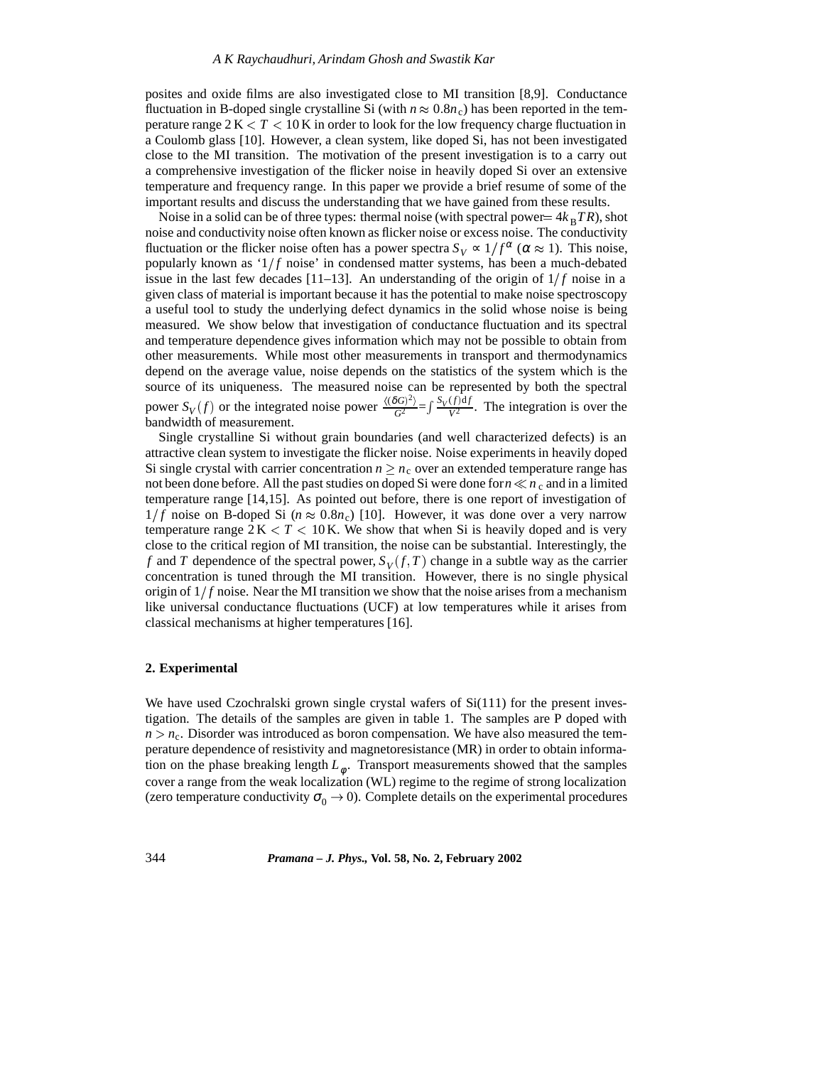posites and oxide films are also investigated close to MI transition [8,9]. Conductance fluctuation in B-doped single crystalline Si (with  $n \approx 0.8n_c$ ) has been reported in the temperature range  $2 K < T < 10 K$  in order to look for the low frequency charge fluctuation in a Coulomb glass [10]. However, a clean system, like doped Si, has not been investigated close to the MI transition. The motivation of the present investigation is to a carry out a comprehensive investigation of the flicker noise in heavily doped Si over an extensive temperature and frequency range. In this paper we provide a brief resume of some of the important results and discuss the understanding that we have gained from these results.

Noise in a solid can be of three types: thermal noise (with spectral power=  $4k<sub>B</sub>TR$ ), shot noise and conductivity noise often known as flicker noise or excess noise. The conductivity fluctuation or the flicker noise often has a power spectra  $S_V \propto 1/f^\alpha$  ( $\alpha \approx 1$ ). This noise, popularly known as  $\frac{1}{f}$  noise' in condensed matter systems, has been a much-debated issue in the last few decades  $[11-13]$ . An understanding of the origin of  $1/f$  noise in a given class of material is important because it has the potential to make noise spectroscopy a useful tool to study the underlying defect dynamics in the solid whose noise is being measured. We show below that investigation of conductance fluctuation and its spectral and temperature dependence gives information which may not be possible to obtain from other measurements. While most other measurements in transport and thermodynamics depend on the average value, noise depends on the statistics of the system which is the source of its uniqueness. The measured noise can be represented by both the spectral power  $S_V(f)$  or the integrated noise power  $\frac{\langle (\delta G)^2 \rangle}{G^2} = \int \frac{S_V(f) df}{V^2}$ . The integration is over the bandwidth of measurement.

Single crystalline Si without grain boundaries (and well characterized defects) is an attractive clean system to investigate the flicker noise. Noise experiments in heavily doped Si single crystal with carrier concentration  $n \geq n_c$  over an extended temperature range has not been done before. All the past studies on doped Si were done for  $n \ll n_c$  and in a limited temperature range [14,15]. As pointed out before, there is one report of investigation of  $1/f$  noise on B-doped Si ( $n \approx 0.8n_c$ ) [10]. However, it was done over a very narrow temperature range  $2K < T < 10K$ . We show that when Si is heavily doped and is very close to the critical region of MI transition, the noise can be substantial. Interestingly, the *f* and *T* dependence of the spectral power,  $S_V(f, T)$  change in a subtle way as the carrier concentration is tuned through the MI transition. However, there is no single physical origin of  $1/f$  noise. Near the MI transition we show that the noise arises from a mechanism like universal conductance fluctuations (UCF) at low temperatures while it arises from classical mechanisms at higher temperatures [16].

#### **2. Experimental**

We have used Czochralski grown single crystal wafers of  $Si(111)$  for the present investigation. The details of the samples are given in table 1. The samples are P doped with  $n > n<sub>c</sub>$ . Disorder was introduced as boron compensation. We have also measured the temperature dependence of resistivity and magnetoresistance (MR) in order to obtain information on the phase breaking length  $L_{\phi}$ . Transport measurements showed that the samples cover a range from the weak localization (WL) regime to the regime of strong localization (zero temperature conductivity  $\sigma_0 \rightarrow 0$ ). Complete details on the experimental procedures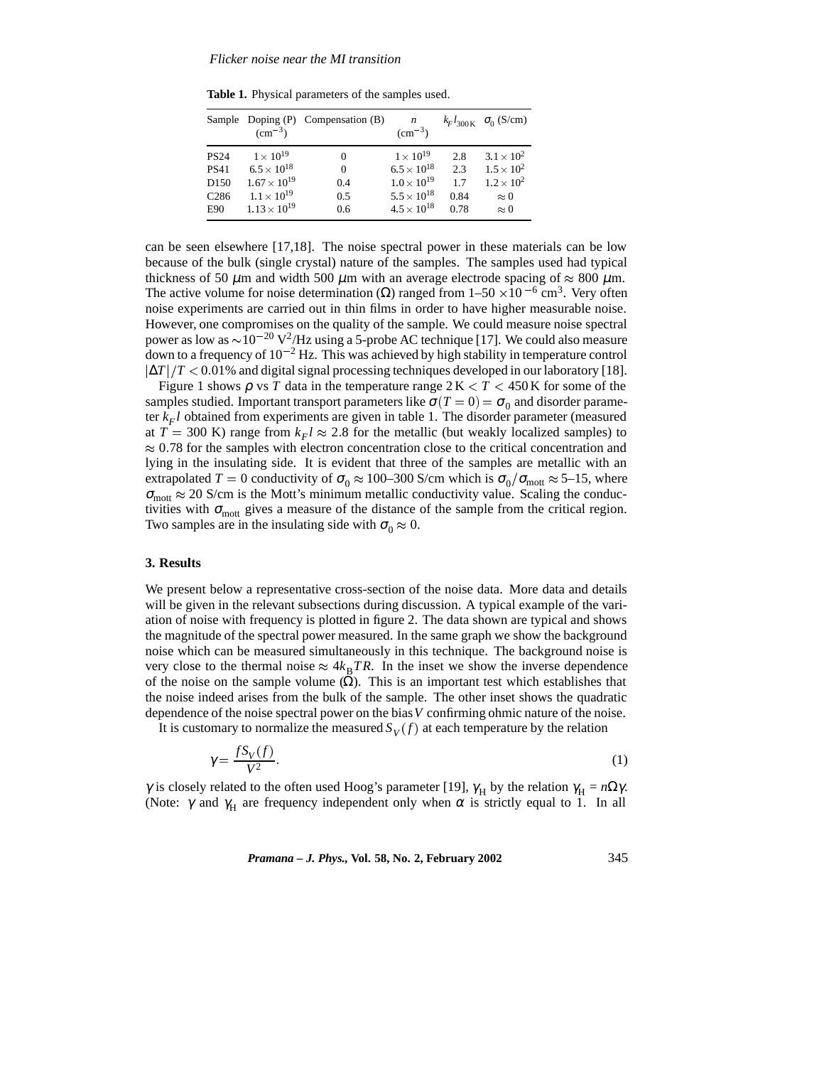**Table 1.** Physical parameters of the samples used.

|                  | $(cm^{-3})$           | Sample Doping (P) Compensation (B) | n<br>$\rm (cm^{-3})$ |      | $k_F l_{300\,\text{K}}$ $\sigma_0$ (S/cm) |
|------------------|-----------------------|------------------------------------|----------------------|------|-------------------------------------------|
| <b>PS24</b>      | $1 \times 10^{19}$    | $\Omega$                           | $1 \times 10^{19}$   | 2.8  | $3.1 \times 10^2$                         |
| <b>PS41</b>      | $6.5 \times 10^{18}$  | $\Omega$                           | $6.5 \times 10^{18}$ | 2.3  | $1.5 \times 10^{2}$                       |
| D <sub>150</sub> | $1.67 \times 10^{19}$ | 0.4                                | $1.0 \times 10^{19}$ | 1.7  | $1.2 \times 10^{2}$                       |
| C <sub>286</sub> | $1.1 \times 10^{19}$  | 0.5                                | $5.5 \times 10^{18}$ | 0.84 | $\approx 0$                               |
| E90              | $1.13 \times 10^{19}$ | 0.6                                | $4.5 \times 10^{18}$ | 0.78 | $\approx 0$                               |

can be seen elsewhere [17,18]. The noise spectral power in these materials can be low because of the bulk (single crystal) nature of the samples. The samples used had typical thickness of 50  $\mu$ m and width 500  $\mu$ m with an average electrode spacing of  $\approx 800 \mu$ m. The active volume for noise determination ( $\Omega$ ) ranged from 1–50  $\times$  10<sup>-6</sup> cm<sup>3</sup>. Very often noise experiments are carried out in thin films in order to have higher measurable noise. However, one compromises on the quality of the sample. We could measure noise spectral power as low as  $\sim 10^{-20}$  V<sup>2</sup>/Hz using a 5-probe AC technique [17]. We could also measure down to a frequency of  $10^{-2}$  Hz. This was achieved by high stability in temperature control  $|\Delta T|/T < 0.01\%$  and digital signal processing techniques developed in our laboratory [18].

Figure 1 shows  $\rho$  vs *T* data in the temperature range  $2 K < T < 450 K$  for some of the samples studied. Important transport parameters like  $\sigma(T=0) = \sigma_0$  and disorder parameter  $k_F l$  obtained from experiments are given in table 1. The disorder parameter (measured at  $T = 300$  K) range from  $k_F l \approx 2.8$  for the metallic (but weakly localized samples) to  $\approx 0.78$  for the samples with electron concentration close to the critical concentration and lying in the insulating side. It is evident that three of the samples are metallic with an extrapolated *T* = 0 conductivity of  $\sigma_0 \approx 100-300$  S/cm which is  $\sigma_0/\sigma_{\text{mot}} \approx 5-15$ , where  $\sigma_{\text{mot}} \approx 20$  S/cm is the Mott's minimum metallic conductivity value. Scaling the conductivities with  $\sigma_{\text{mot}}$  gives a measure of the distance of the sample from the critical region. Two samples are in the insulating side with  $\sigma_0 \approx 0$ .

# **3. Results**

We present below a representative cross-section of the noise data. More data and details will be given in the relevant subsections during discussion. A typical example of the variation of noise with frequency is plotted in figure 2. The data shown are typical and shows the magnitude of the spectral power measured. In the same graph we show the background noise which can be measured simultaneously in this technique. The background noise is very close to the thermal noise  $\approx 4k_BTR$ . In the inset we show the inverse dependence of the noise on the sample volume  $(\Omega)$ . This is an important test which establishes that the noise indeed arises from the bulk of the sample. The other inset shows the quadratic dependence of the noise spectral power on the bias*V* confirming ohmic nature of the noise.

It is customary to normalize the measured  $S_V(f)$  at each temperature by the relation

$$
\gamma = \frac{fS_V(f)}{V^2}.\tag{1}
$$

γ is closely related to the often used Hoog's parameter [19],  $\gamma_H$  by the relation  $\gamma_H = n\Omega$ γ. (Note:  $\gamma$  and  $\gamma$ <sub>H</sub> are frequency independent only when  $\alpha$  is strictly equal to 1. In all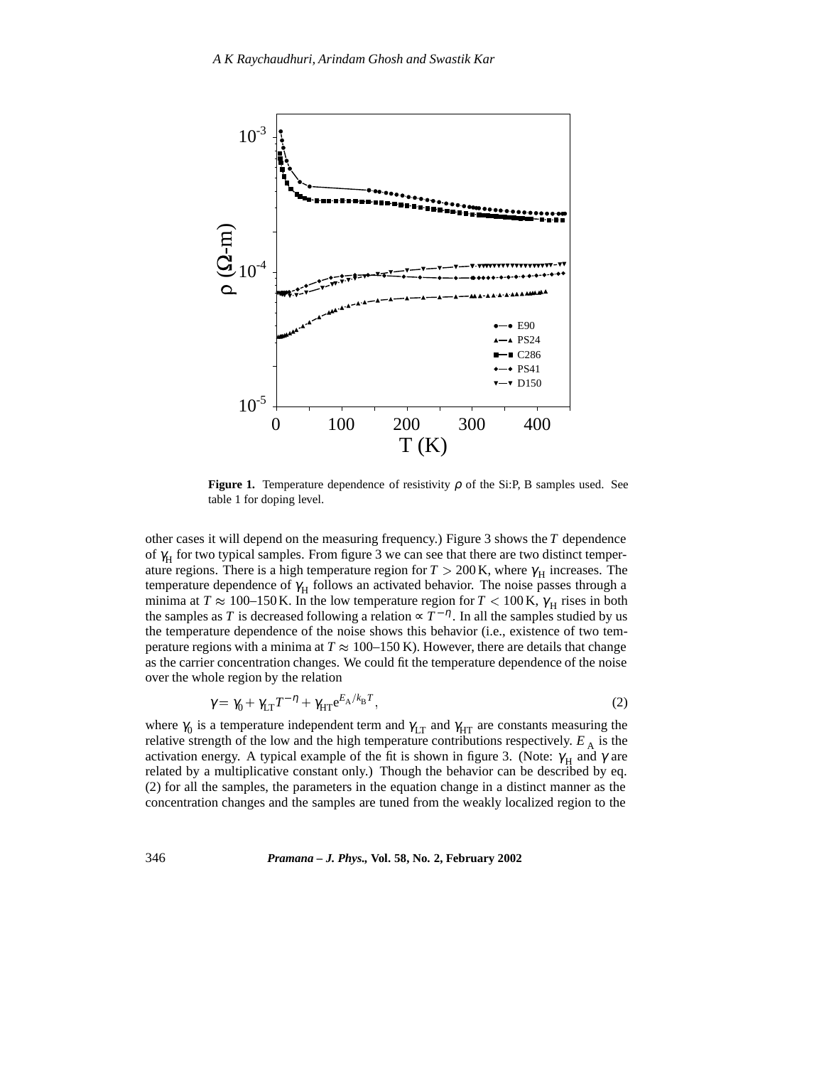

**Figure 1.** Temperature dependence of resistivity  $\rho$  of the Si:P, B samples used. See table 1 for doping level.

other cases it will depend on the measuring frequency.) Figure 3 shows the *T* dependence of  $\gamma_H$  for two typical samples. From figure 3 we can see that there are two distinct temperature regions. There is a high temperature region for  $T > 200$  K, where  $\gamma_H$  increases. The temperature dependence of  $\gamma_H$  follows an activated behavior. The noise passes through a minima at  $T \approx 100-150$  K. In the low temperature region for  $T < 100$  K,  $\gamma_H$  rises in both the samples as *T* is decreased following a relation  $\propto T^{-\eta}$ . In all the samples studied by us the temperature dependence of the noise shows this behavior (i.e., existence of two temperature regions with a minima at  $T \approx 100-150$  K). However, there are details that change as the carrier concentration changes. We could fit the temperature dependence of the noise over the whole region by the relation

$$
\gamma = \gamma_0 + \gamma_{LT} T^{-\eta} + \gamma_{HT} e^{E_A/k_B T},\tag{2}
$$

where  $\gamma_0$  is a temperature independent term and  $\gamma_{LT}$  and  $\gamma_{HT}$  are constants measuring the relative strength of the low and the high temperature contributions respectively.  $E_A$  is the activation energy. A typical example of the fit is shown in figure 3. (Note:  $\gamma_H$  and  $\gamma$  are related by a multiplicative constant only.) Though the behavior can be described by eq. (2) for all the samples, the parameters in the equation change in a distinct manner as the concentration changes and the samples are tuned from the weakly localized region to the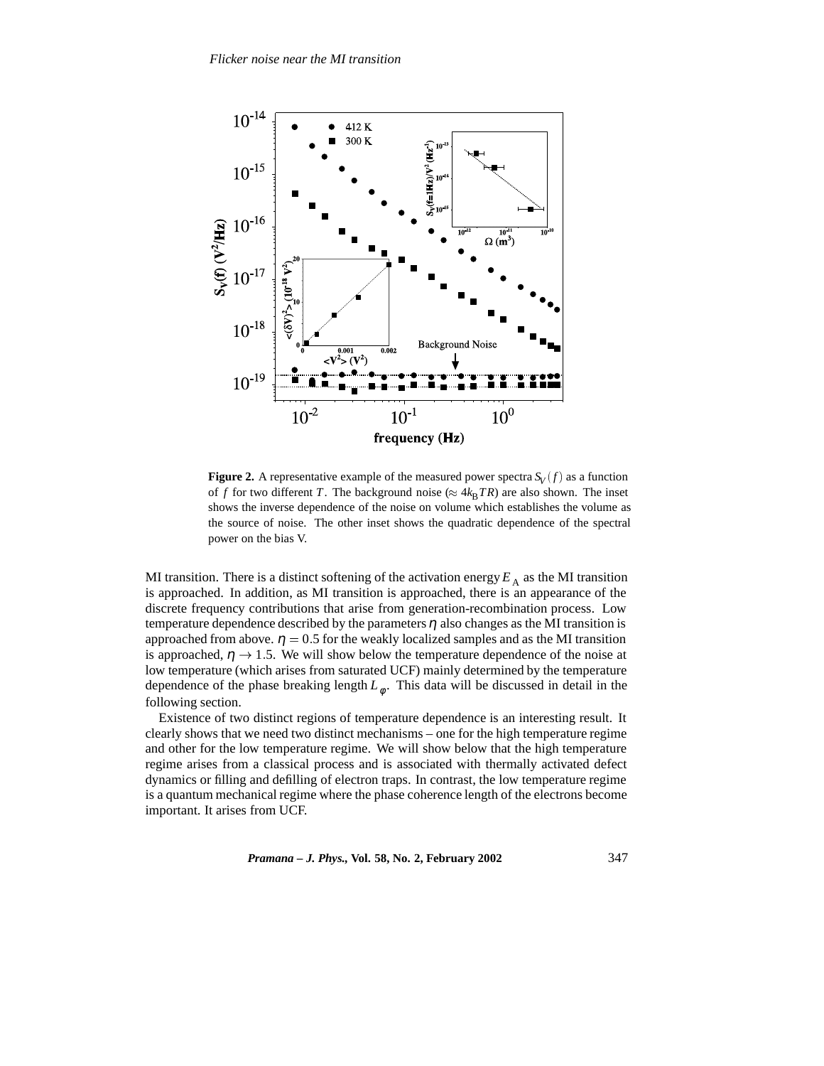

**Figure 2.** A representative example of the measured power spectra  $S_V(f)$  as a function of *f* for two different *T*. The background noise ( $\approx 4k_BTR$ ) are also shown. The inset shows the inverse dependence of the noise on volume which establishes the volume as the source of noise. The other inset shows the quadratic dependence of the spectral power on the bias V.

MI transition. There is a distinct softening of the activation energy  $E_A$  as the MI transition is approached. In addition, as MI transition is approached, there is an appearance of the discrete frequency contributions that arise from generation-recombination process. Low temperature dependence described by the parameters  $\eta$  also changes as the MI transition is approached from above.  $\eta = 0.5$  for the weakly localized samples and as the MI transition is approached,  $\eta \rightarrow 1.5$ . We will show below the temperature dependence of the noise at low temperature (which arises from saturated UCF) mainly determined by the temperature dependence of the phase breaking length  $L_{\phi}$ . This data will be discussed in detail in the following section.

Existence of two distinct regions of temperature dependence is an interesting result. It clearly shows that we need two distinct mechanisms – one for the high temperature regime and other for the low temperature regime. We will show below that the high temperature regime arises from a classical process and is associated with thermally activated defect dynamics or filling and defilling of electron traps. In contrast, the low temperature regime is a quantum mechanical regime where the phase coherence length of the electrons become important. It arises from UCF.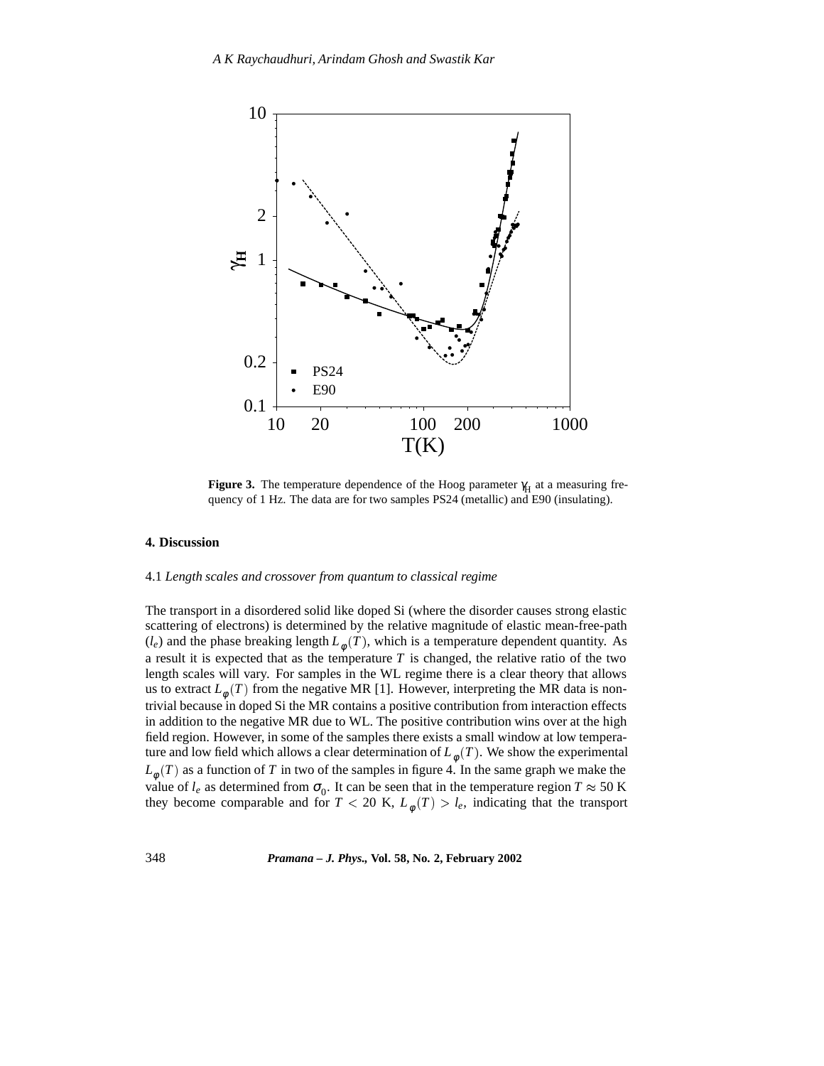

**Figure 3.** The temperature dependence of the Hoog parameter  $\gamma_H$  at a measuring frequency of 1 Hz. The data are for two samples PS24 (metallic) and E90 (insulating).

## **4. Discussion**

#### 4.1 *Length scales and crossover from quantum to classical regime*

The transport in a disordered solid like doped Si (where the disorder causes strong elastic scattering of electrons) is determined by the relative magnitude of elastic mean-free-path  $(l_e)$  and the phase breaking length  $L_{\phi}(T)$ , which is a temperature dependent quantity. As a result it is expected that as the temperature *T* is changed, the relative ratio of the two length scales will vary. For samples in the WL regime there is a clear theory that allows us to extract  $L_{\phi}(T)$  from the negative MR [1]. However, interpreting the MR data is nontrivial because in doped Si the MR contains a positive contribution from interaction effects in addition to the negative MR due to WL. The positive contribution wins over at the high field region. However, in some of the samples there exists a small window at low temperature and low field which allows a clear determination of  $L_{\phi}(T)$ . We show the experimental  $L_{\phi}(T)$  as a function of *T* in two of the samples in figure 4. In the same graph we make the value of  $l_e$  as determined from  $\sigma_0$ . It can be seen that in the temperature region  $T \approx 50$  K they become comparable and for  $T < 20$  K,  $L_{\phi}(T) > l_e$ , indicating that the transport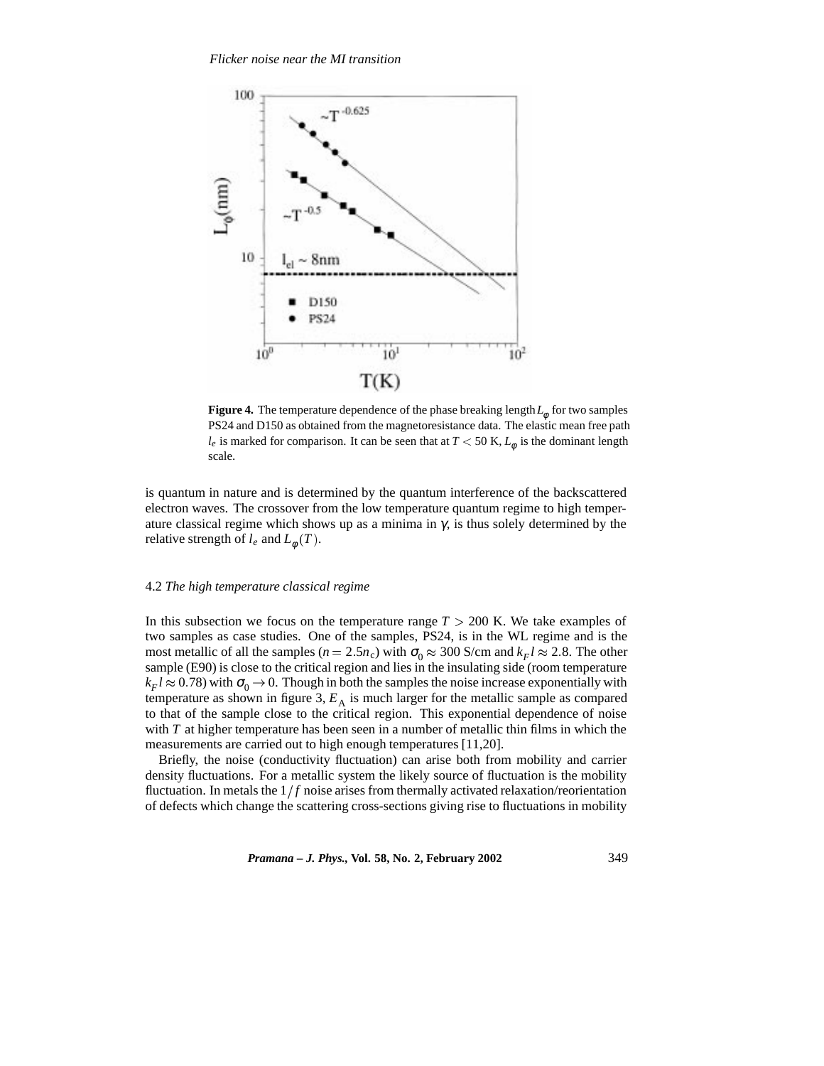

**Figure 4.** The temperature dependence of the phase breaking length  $L_{\phi}$  for two samples PS24 and D150 as obtained from the magnetoresistance data. The elastic mean free path  $l_e$  is marked for comparison. It can be seen that at  $T < 50$  K,  $L_\phi$  is the dominant length scale.

is quantum in nature and is determined by the quantum interference of the backscattered electron waves. The crossover from the low temperature quantum regime to high temperature classical regime which shows up as a minima in  $\gamma$ , is thus solely determined by the relative strength of  $l_e$  and  $L_\phi(T)$ .

#### 4.2 *The high temperature classical regime*

In this subsection we focus on the temperature range  $T > 200$  K. We take examples of two samples as case studies. One of the samples, PS24, is in the WL regime and is the most metallic of all the samples ( $n = 2.5n_c$ ) with  $\sigma_0 \approx 300$  S/cm and  $k_F l \approx 2.8$ . The other sample (E90) is close to the critical region and lies in the insulating side (room temperature  $k_F l \approx 0.78$ ) with  $\sigma_0 \rightarrow 0$ . Though in both the samples the noise increase exponentially with temperature as shown in figure 3,  $E_A$  is much larger for the metallic sample as compared to that of the sample close to the critical region. This exponential dependence of noise with *T* at higher temperature has been seen in a number of metallic thin films in which the measurements are carried out to high enough temperatures [11,20].

Briefly, the noise (conductivity fluctuation) can arise both from mobility and carrier density fluctuations. For a metallic system the likely source of fluctuation is the mobility fluctuation. In metals the  $1/f$  noise arises from thermally activated relaxation/reorientation of defects which change the scattering cross-sections giving rise to fluctuations in mobility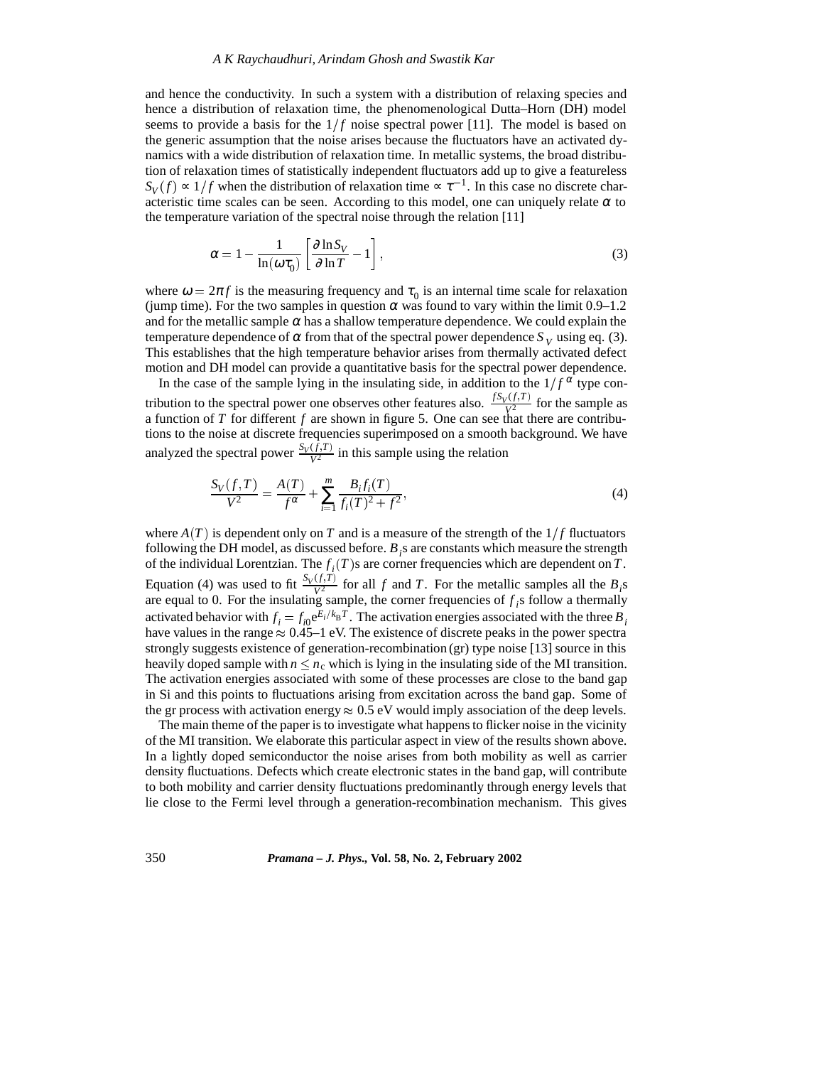#### *A K Raychaudhuri, Arindam Ghosh and Swastik Kar*

and hence the conductivity. In such a system with a distribution of relaxing species and hence a distribution of relaxation time, the phenomenological Dutta–Horn (DH) model seems to provide a basis for the  $1/f$  noise spectral power [11]. The model is based on the generic assumption that the noise arises because the fluctuators have an activated dynamics with a wide distribution of relaxation time. In metallic systems, the broad distribution of relaxation times of statistically independent fluctuators add up to give a featureless  $S_V(f) \propto 1/f$  when the distribution of relaxation time  $\propto \tau^{-1}$ . In this case no discrete characteristic time scales can be seen. According to this model, one can uniquely relate  $\alpha$  to the temperature variation of the spectral noise through the relation [11]

$$
\alpha = 1 - \frac{1}{\ln(\omega \tau_0)} \left[ \frac{\partial \ln S_V}{\partial \ln T} - 1 \right],
$$
\n(3)

where  $\omega = 2\pi f$  is the measuring frequency and  $\tau_0$  is an internal time scale for relaxation (jump time). For the two samples in question  $\alpha$  was found to vary within the limit 0.9–1.2 and for the metallic sample  $\alpha$  has a shallow temperature dependence. We could explain the temperature dependence of  $\alpha$  from that of the spectral power dependence  $S<sub>V</sub>$  using eq. (3). This establishes that the high temperature behavior arises from thermally activated defect motion and DH model can provide a quantitative basis for the spectral power dependence.

In the case of the sample lying in the insulating side, in addition to the  $1/f^{\alpha}$  type contribution to the spectral power one observes other features also.  $\frac{fS_V(f,T)}{V^2}$  for the sample as a function of T for different f are shown in figure 5. One can see that there are contributions to the noise at discrete frequencies superimposed on a smooth background. We have analyzed the spectral power  $\frac{S_V(f,T)}{V^2}$  in this sample using the relation

$$
\frac{S_V(f,T)}{V^2} = \frac{A(T)}{f^{\alpha}} + \sum_{i=1}^{m} \frac{B_i f_i(T)}{f_i(T)^2 + f^2},\tag{4}
$$

where  $A(T)$  is dependent only on T and is a measure of the strength of the  $1/f$  fluctuators following the DH model, as discussed before.  $B_i$  are constants which measure the strength of the individual Lorentzian. The  $f_i(T)$  s are corner frequencies which are dependent on *T*. Equation (4) was used to fit  $\frac{S_V(f,T)}{V^2}$  for all *f* and *T*. For the metallic samples all the *B<sub>i</sub>*s are equal to 0. For the insulating sample, the corner frequencies of  $f_i$  s follow a thermally activated behavior with  $f_i = f_{i0}e^{E_i/k_B T}$ . The activation energies associated with the three  $B_i$ have values in the range  $\approx 0.45$ –1 eV. The existence of discrete peaks in the power spectra strongly suggests existence of generation-recombination (gr) type noise [13] source in this heavily doped sample with  $n \leq n_c$  which is lying in the insulating side of the MI transition. The activation energies associated with some of these processes are close to the band gap in Si and this points to fluctuations arising from excitation across the band gap. Some of the gr process with activation energy  $\approx 0.5$  eV would imply association of the deep levels.

The main theme of the paper is to investigate what happens to flicker noise in the vicinity of the MI transition. We elaborate this particular aspect in view of the results shown above. In a lightly doped semiconductor the noise arises from both mobility as well as carrier density fluctuations. Defects which create electronic states in the band gap, will contribute to both mobility and carrier density fluctuations predominantly through energy levels that lie close to the Fermi level through a generation-recombination mechanism. This gives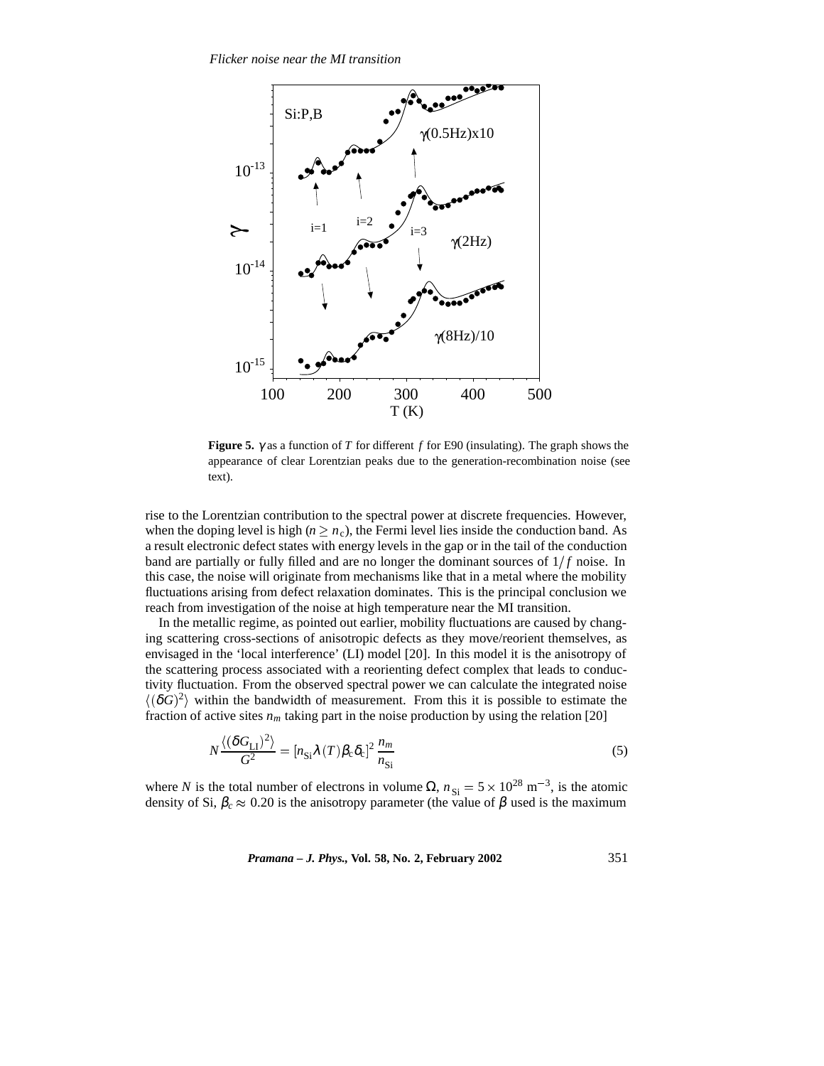

**Figure 5.** γ as a function of *T* for different *f* for E90 (insulating). The graph shows the appearance of clear Lorentzian peaks due to the generation-recombination noise (see text).

rise to the Lorentzian contribution to the spectral power at discrete frequencies. However, when the doping level is high ( $n \ge n_c$ ), the Fermi level lies inside the conduction band. As a result electronic defect states with energy levels in the gap or in the tail of the conduction band are partially or fully filled and are no longer the dominant sources of  $1/f$  noise. In this case, the noise will originate from mechanisms like that in a metal where the mobility fluctuations arising from defect relaxation dominates. This is the principal conclusion we reach from investigation of the noise at high temperature near the MI transition.

In the metallic regime, as pointed out earlier, mobility fluctuations are caused by changing scattering cross-sections of anisotropic defects as they move/reorient themselves, as envisaged in the 'local interference' (LI) model [20]. In this model it is the anisotropy of the scattering process associated with a reorienting defect complex that leads to conductivity fluctuation. From the observed spectral power we can calculate the integrated noise  $\langle (\delta G)^2 \rangle$  within the bandwidth of measurement. From this it is possible to estimate the fraction of active sites  $n_m$  taking part in the noise production by using the relation [20]

$$
N\frac{\langle (\delta G_{\text{LI}})^2 \rangle}{G^2} = [n_{\text{Si}}\lambda(T)\beta_c \delta_c]^2 \frac{n_m}{n_{\text{Si}}}
$$
\n(5)

where *N* is the total number of electrons in volume  $\Omega$ ,  $n_{Si} = 5 \times 10^{28}$  m<sup>-3</sup>, is the atomic density of Si,  $\beta_c \approx 0.20$  is the anisotropy parameter (the value of  $\beta$  used is the maximum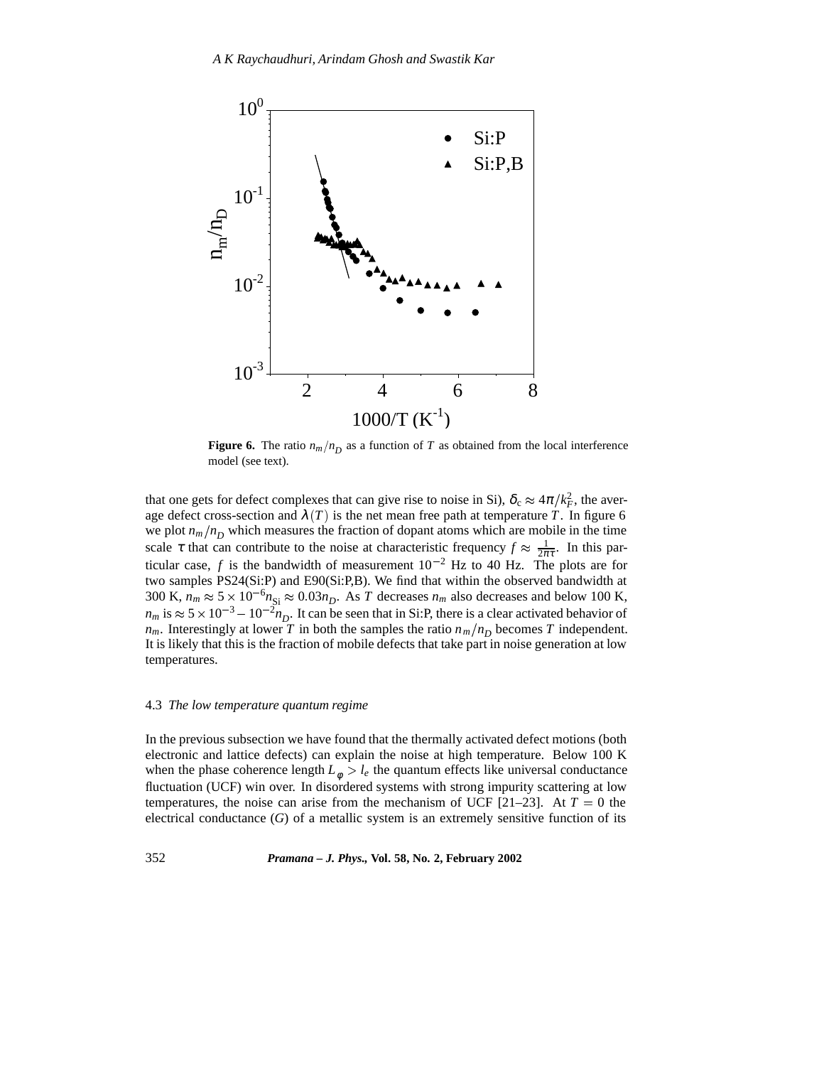

**Figure 6.** The ratio  $n_m/n_D$  as a function of *T* as obtained from the local interference model (see text).

that one gets for defect complexes that can give rise to noise in Si),  $\delta_c \approx 4\pi/k_F^2$ , the average defect cross-section and  $\lambda(T)$  is the net mean free path at temperature T. In figure 6 we plot  $n_m/n_D$  which measures the fraction of dopant atoms which are mobile in the time scale  $\tau$  that can contribute to the noise at characteristic frequency  $f \approx \frac{1}{2\pi\tau}$ . In this particular case, *f* is the bandwidth of measurement  $10^{-2}$  Hz to 40 Hz. The plots are for two samples PS24(Si:P) and E90(Si:P,B). We find that within the observed bandwidth at 300 K,  $n_m \approx 5 \times 10^{-6} n_{Si} \approx 0.03 n_D$ . As *T* decreases  $n_m$  also decreases and below 100 K,  $n_m$  is  $\approx 5 \times 10^{-3} - 10^{-2} n_D$ . It can be seen that in Si:P, there is a clear activated behavior of  $n_m$ . Interestingly at lower *T* in both the samples the ratio  $n_m/n_D$  becomes *T* independent. It is likely that this is the fraction of mobile defects that take part in noise generation at low temperatures.

#### 4.3 *The low temperature quantum regime*

In the previous subsection we have found that the thermally activated defect motions (both electronic and lattice defects) can explain the noise at high temperature. Below 100 K when the phase coherence length  $L_{\phi} > l_e$  the quantum effects like universal conductance fluctuation (UCF) win over. In disordered systems with strong impurity scattering at low temperatures, the noise can arise from the mechanism of UCF  $[21-23]$ . At  $T=0$  the electrical conductance  $(G)$  of a metallic system is an extremely sensitive function of its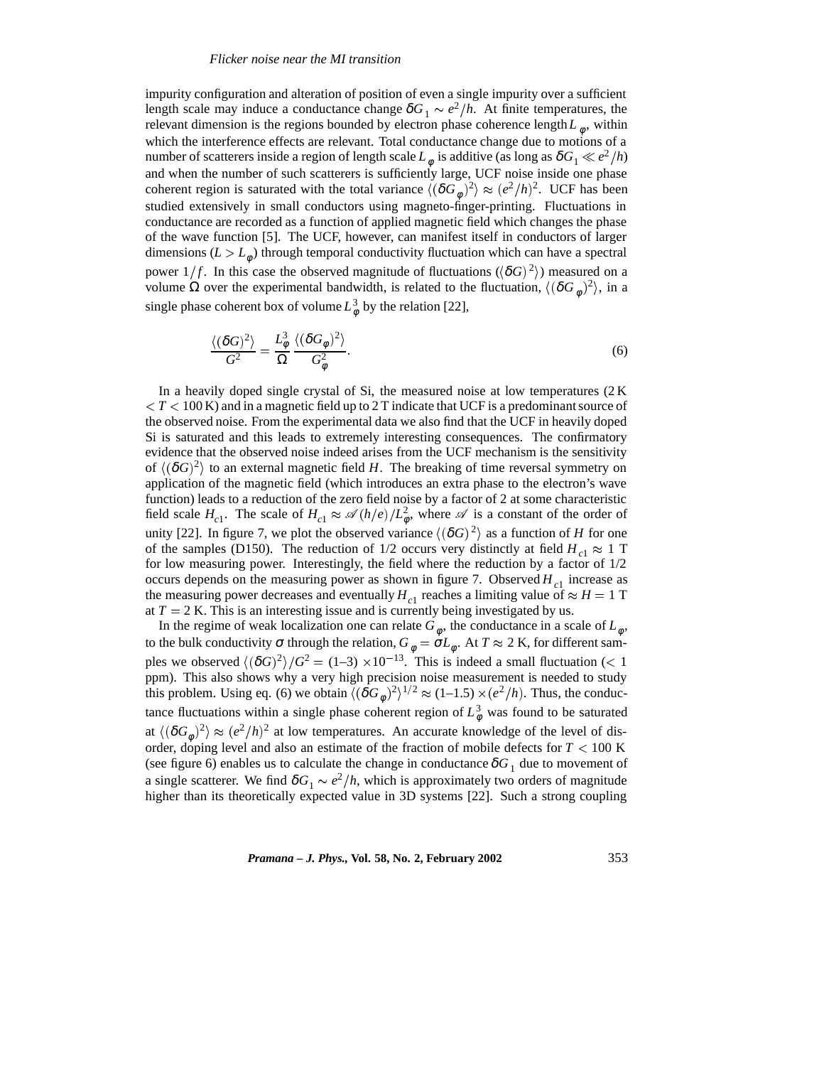impurity configuration and alteration of position of even a single impurity over a sufficient length scale may induce a conductance change  $\delta G_1 \sim e^2/h$ . At finite temperatures, the relevant dimension is the regions bounded by electron phase coherence length  $L_{\phi}$ , within which the interference effects are relevant. Total conductance change due to motions of a number of scatterers inside a region of length scale  $L_{\phi}$  is additive (as long as  $\delta G_1 \ll e^2/h$ ) and when the number of such scatterers is sufficiently large, UCF noise inside one phase coherent region is saturated with the total variance  $\langle (\delta G_{\phi})^2 \rangle \approx (e^2/h)^2$ . UCF has been studied extensively in small conductors using magneto-finger-printing. Fluctuations in conductance are recorded as a function of applied magnetic field which changes the phase of the wave function [5]. The UCF, however, can manifest itself in conductors of larger dimensions  $(L > L_{\phi})$  through temporal conductivity fluctuation which can have a spectral power  $1/f$ . In this case the observed magnitude of fluctuations ( $\langle \delta G \rangle^2$ ) measured on a volume Ω over the experimental bandwidth, is related to the fluctuation,  $\langle (\delta G_{\phi})^2 \rangle$ , in a single phase coherent box of volume  $L^3_{\phi}$  by the relation [22],

$$
\frac{\langle (\delta G)^2 \rangle}{G^2} = \frac{L_\phi^3}{\Omega} \frac{\langle (\delta G_\phi)^2 \rangle}{G_\phi^2}.
$$
\n(6)

In a heavily doped single crystal of Si, the measured noise at low temperatures (2 K  $T < 100$  K) and in a magnetic field up to 2 T indicate that UCF is a predominant source of the observed noise. From the experimental data we also find that the UCF in heavily doped Si is saturated and this leads to extremely interesting consequences. The confirmatory evidence that the observed noise indeed arises from the UCF mechanism is the sensitivity of  $\langle (\delta G)^2 \rangle$  to an external magnetic field *H*. The breaking of time reversal symmetry on application of the magnetic field (which introduces an extra phase to the electron's wave function) leads to a reduction of the zero field noise by a factor of 2 at some characteristic field scale  $H_{c1}$ . The scale of  $H_{c1} \approx \mathcal{A}(h/e)/L_{\phi}^2$ , where  $\mathcal A$  is a constant of the order of unity [22]. In figure 7, we plot the observed variance  $\langle (\delta G)^2 \rangle$  as a function of *H* for one of the samples (D150). The reduction of 1/2 occurs very distinctly at field  $H_{c1} \approx 1$  T for low measuring power. Interestingly, the field where the reduction by a factor of 1/2 occurs depends on the measuring power as shown in figure 7. Observed  $H_{c1}$  increase as the measuring power decreases and eventually  $H_{c1}$  reaches a limiting value of  $\approx H = 1$  T at  $T = 2$  K. This is an interesting issue and is currently being investigated by us.

In the regime of weak localization one can relate  $G_{\phi}$ , the conductance in a scale of  $L_{\phi}$ , to the bulk conductivity  $\sigma$  through the relation,  $G_{\phi} = \sigma L_{\phi}$ . At  $T \approx 2$  K, for different samples we observed  $\langle (\delta G)^2 \rangle / G^2 = (1-3) \times 10^{-13}$ . This is indeed a small fluctuation (< 1 ppm). This also shows why a very high precision noise measurement is needed to study this problem. Using eq. (6) we obtain  $\langle (\delta G_{\phi})^2 \rangle^{1/2} \approx (1-1.5) \times (e^2/h)$ . Thus, the conductance fluctuations within a single phase coherent region of  $L^3_{\phi}$  was found to be saturated at  $\langle (\delta G_{\phi})^2 \rangle \approx (e^2/h)^2$  at low temperatures. An accurate knowledge of the level of disorder, doping level and also an estimate of the fraction of mobile defects for  $T < 100$  K (see figure 6) enables us to calculate the change in conductance  $\delta G_1$  due to movement of a single scatterer. We find  $\delta G_1 \sim e^2/h$ , which is approximately two orders of magnitude higher than its theoretically expected value in 3D systems [22]. Such a strong coupling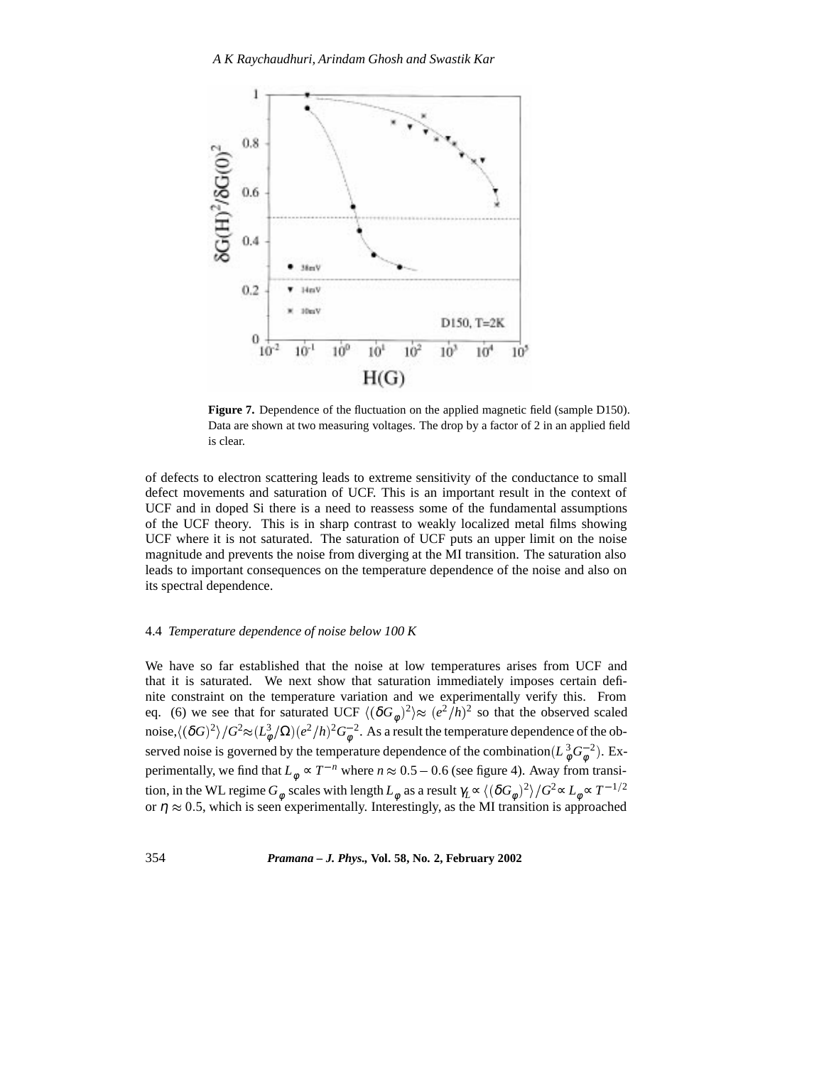

**Figure 7.** Dependence of the fluctuation on the applied magnetic field (sample D150). Data are shown at two measuring voltages. The drop by a factor of 2 in an applied field is clear.

of defects to electron scattering leads to extreme sensitivity of the conductance to small defect movements and saturation of UCF. This is an important result in the context of UCF and in doped Si there is a need to reassess some of the fundamental assumptions of the UCF theory. This is in sharp contrast to weakly localized metal films showing UCF where it is not saturated. The saturation of UCF puts an upper limit on the noise magnitude and prevents the noise from diverging at the MI transition. The saturation also leads to important consequences on the temperature dependence of the noise and also on its spectral dependence.

#### 4.4 *Temperature dependence of noise below 100 K*

We have so far established that the noise at low temperatures arises from UCF and that it is saturated. We next show that saturation immediately imposes certain definite constraint on the temperature variation and we experimentally verify this. From eq. (6) we see that for saturated UCF  $\langle (\delta G_{\phi})^2 \rangle \approx (e^2/h)^2$  so that the observed scaled noise, $\langle(\delta G)^2\rangle/G^2{\approx}(L^3_\phi/\Omega)(e^2/h)^2G^{-2}_\phi.$  As a result the temperature dependence of the observed noise is governed by the temperature dependence of the combination( $L^3_{\phi}G_{\phi}^{-2}$ ). Experimentally, we find that  $L_{\phi} \propto T^{-n}$  where  $n \approx 0.5 - 0.6$  (see figure 4). Away from transition, in the WL regime  $G_\phi$  scales with length  $L_\phi$  as a result  $\gamma_L \propto \langle (\delta G_\phi)^2 \rangle/G^2 {\approx} L_\phi {\approx} T^{-1/2}$ or  $\eta \approx 0.5$ , which is seen experimentally. Interestingly, as the MI transition is approached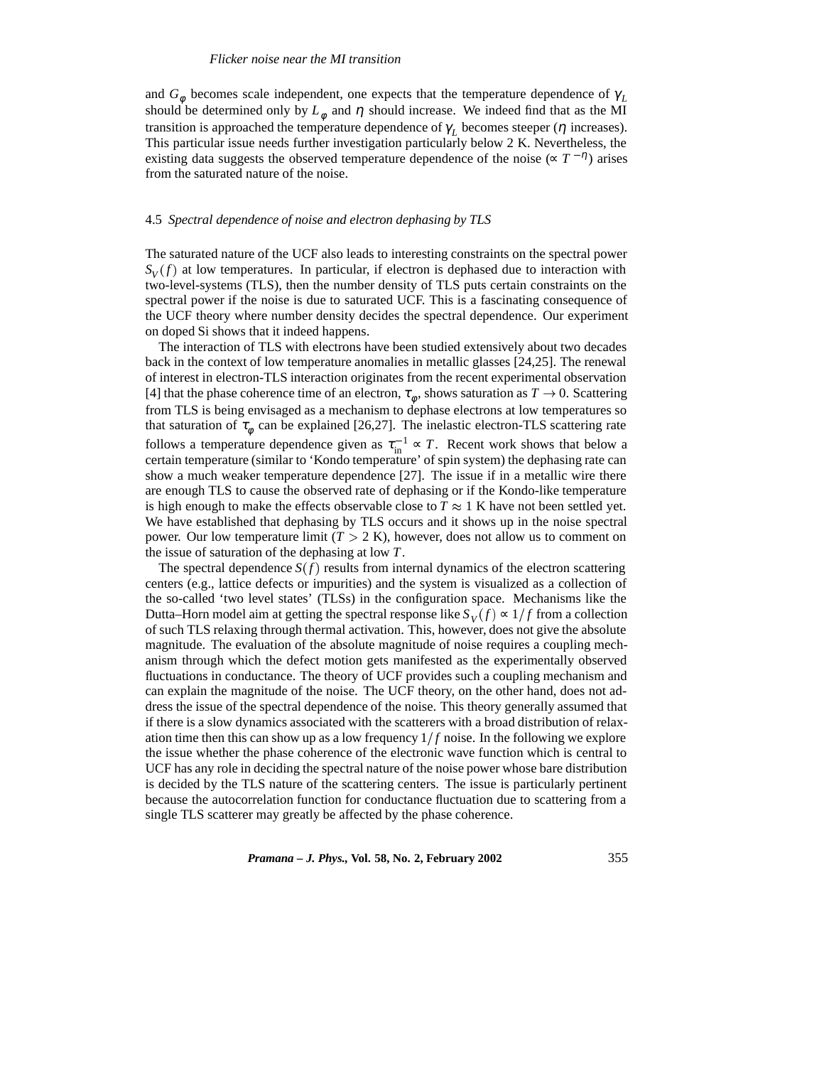and  $G_{\phi}$  becomes scale independent, one expects that the temperature dependence of  $\gamma_L$ should be determined only by  $L_{\phi}$  and  $\eta$  should increase. We indeed find that as the MI transition is approached the temperature dependence of  $\gamma_L$  becomes steeper ( $\eta$  increases). This particular issue needs further investigation particularly below 2 K. Nevertheless, the existing data suggests the observed temperature dependence of the noise ( $\propto T^{-\eta}$ ) arises from the saturated nature of the noise.

#### 4.5 *Spectral dependence of noise and electron dephasing by TLS*

The saturated nature of the UCF also leads to interesting constraints on the spectral power  $S_V(f)$  at low temperatures. In particular, if electron is dephased due to interaction with two-level-systems (TLS), then the number density of TLS puts certain constraints on the spectral power if the noise is due to saturated UCF. This is a fascinating consequence of the UCF theory where number density decides the spectral dependence. Our experiment on doped Si shows that it indeed happens.

The interaction of TLS with electrons have been studied extensively about two decades back in the context of low temperature anomalies in metallic glasses [24,25]. The renewal of interest in electron-TLS interaction originates from the recent experimental observation [4] that the phase coherence time of an electron,  $\tau_{\phi}$ , shows saturation as  $T \to 0$ . Scattering from TLS is being envisaged as a mechanism to dephase electrons at low temperatures so that saturation of  $\tau_{\phi}$  can be explained [26,27]. The inelastic electron-TLS scattering rate follows a temperature dependence given as  $\tau_{\text{in}}^{-1} \propto T$ . Recent work shows that below a certain temperature (similar to 'Kondo temperature' of spin system) the dephasing rate can show a much weaker temperature dependence [27]. The issue if in a metallic wire there are enough TLS to cause the observed rate of dephasing or if the Kondo-like temperature is high enough to make the effects observable close to  $T \approx 1$  K have not been settled yet. We have established that dephasing by TLS occurs and it shows up in the noise spectral power. Our low temperature limit  $(T > 2 K)$ , however, does not allow us to comment on the issue of saturation of the dephasing at low *T*.

The spectral dependence  $S(f)$  results from internal dynamics of the electron scattering centers (e.g., lattice defects or impurities) and the system is visualized as a collection of the so-called 'two level states' (TLSs) in the configuration space. Mechanisms like the Dutta–Horn model aim at getting the spectral response like  $S_V(f) \approx 1/f$  from a collection of such TLS relaxing through thermal activation. This, however, does not give the absolute magnitude. The evaluation of the absolute magnitude of noise requires a coupling mechanism through which the defect motion gets manifested as the experimentally observed fluctuations in conductance. The theory of UCF provides such a coupling mechanism and can explain the magnitude of the noise. The UCF theory, on the other hand, does not address the issue of the spectral dependence of the noise. This theory generally assumed that if there is a slow dynamics associated with the scatterers with a broad distribution of relaxation time then this can show up as a low frequency  $1/f$  noise. In the following we explore the issue whether the phase coherence of the electronic wave function which is central to UCF has any role in deciding the spectral nature of the noise power whose bare distribution is decided by the TLS nature of the scattering centers. The issue is particularly pertinent because the autocorrelation function for conductance fluctuation due to scattering from a single TLS scatterer may greatly be affected by the phase coherence.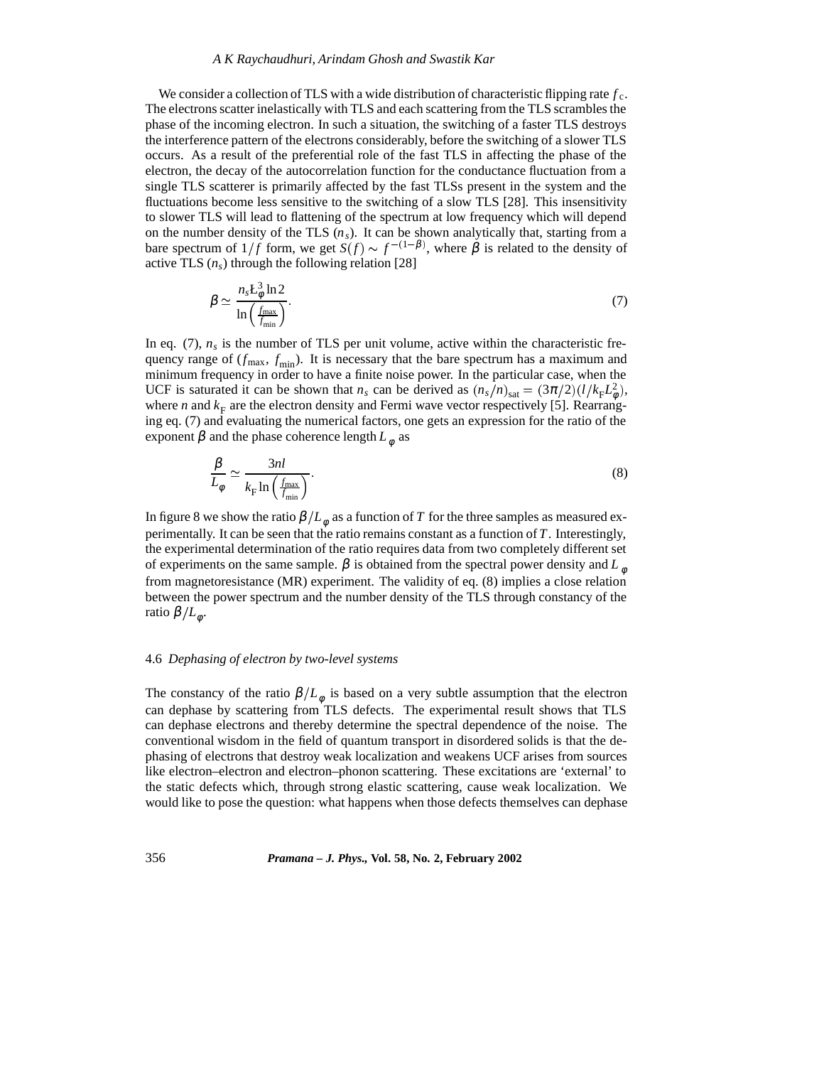#### *A K Raychaudhuri, Arindam Ghosh and Swastik Kar*

We consider a collection of TLS with a wide distribution of characteristic flipping rate  $f_c$ . The electrons scatter inelastically with TLS and each scattering from the TLS scrambles the phase of the incoming electron. In such a situation, the switching of a faster TLS destroys the interference pattern of the electrons considerably, before the switching of a slower TLS occurs. As a result of the preferential role of the fast TLS in affecting the phase of the electron, the decay of the autocorrelation function for the conductance fluctuation from a single TLS scatterer is primarily affected by the fast TLSs present in the system and the fluctuations become less sensitive to the switching of a slow TLS [28]. This insensitivity to slower TLS will lead to flattening of the spectrum at low frequency which will depend on the number density of the TLS (*ns*). It can be shown analytically that, starting from a bare spectrum of  $1/f$  form, we get  $S(f) \sim f^{-(1-\beta)}$ , where  $\beta$  is related to the density of active TLS  $(n<sub>s</sub>)$  through the following relation [28]

$$
\beta \simeq \frac{n_s L_\phi^3 \ln 2}{\ln \left( \frac{f_{\text{max}}}{f_{\text{min}}} \right)}.
$$
\n(7)

In eq.  $(7)$ ,  $n<sub>s</sub>$  is the number of TLS per unit volume, active within the characteristic frequency range of ( $f_{\text{max}}$ ,  $f_{\text{min}}$ ). It is necessary that the bare spectrum has a maximum and minimum frequency in order to have a finite noise power. In the particular case, when the UCF is saturated it can be shown that  $n_s$  can be derived as  $(n_s/n)_{\text{sat}} = (3\pi/2)(l/k_{\text{F}}L_{\phi}^2)$ , where *n* and  $k_F$  are the electron density and Fermi wave vector respectively [5]. Rearranging eq. (7) and evaluating the numerical factors, one gets an expression for the ratio of the exponent  $\beta$  and the phase coherence length  $L_{\phi}$  as

$$
\frac{\beta}{L_{\phi}} \simeq \frac{3nl}{k_{\rm F} \ln\left(\frac{f_{\rm max}}{f_{\rm min}}\right)}.
$$
\n(8)

In figure 8 we show the ratio  $\beta/L_{\phi}$  as a function of *T* for the three samples as measured experimentally. It can be seen that the ratio remains constant as a function of *T*. Interestingly, the experimental determination of the ratio requires data from two completely different set of experiments on the same sample.  $\beta$  is obtained from the spectral power density and  $L_{\phi}$ from magnetoresistance (MR) experiment. The validity of eq. (8) implies a close relation between the power spectrum and the number density of the TLS through constancy of the ratio  $β/L_φ$ .

## 4.6 *Dephasing of electron by two-level systems*

The constancy of the ratio  $\beta/L_{\phi}$  is based on a very subtle assumption that the electron can dephase by scattering from TLS defects. The experimental result shows that TLS can dephase electrons and thereby determine the spectral dependence of the noise. The conventional wisdom in the field of quantum transport in disordered solids is that the dephasing of electrons that destroy weak localization and weakens UCF arises from sources like electron–electron and electron–phonon scattering. These excitations are 'external' to the static defects which, through strong elastic scattering, cause weak localization. We would like to pose the question: what happens when those defects themselves can dephase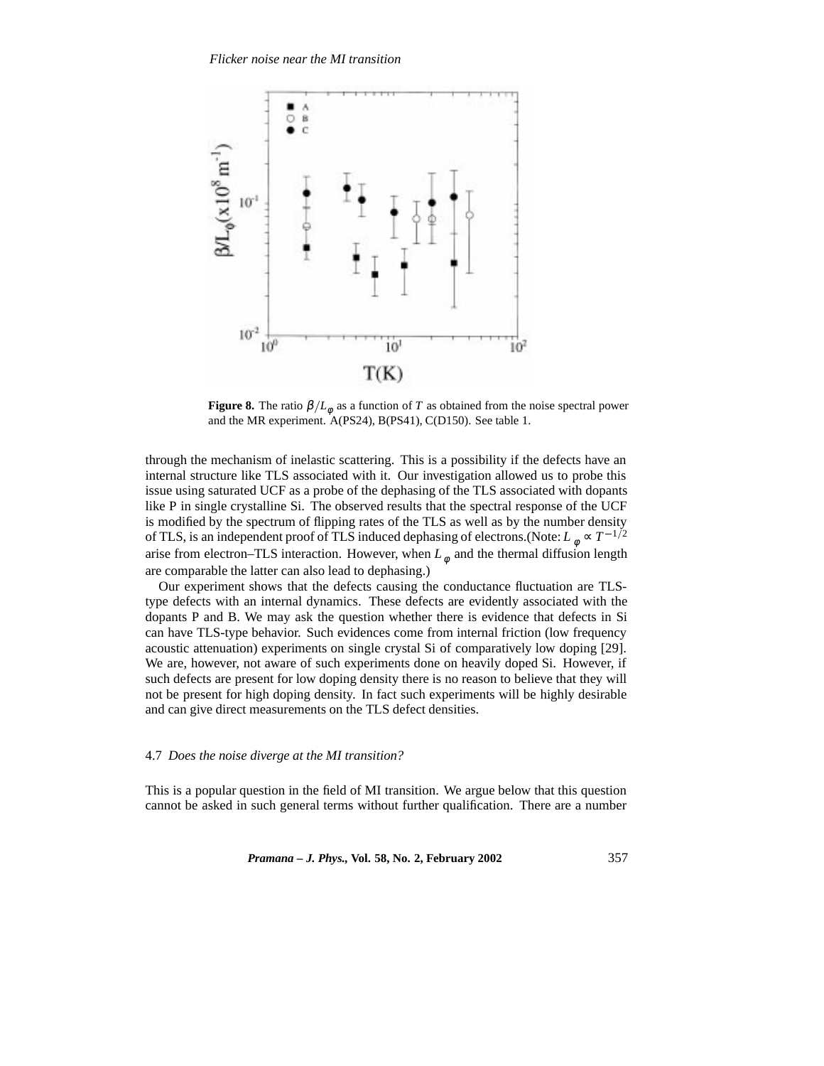

**Figure 8.** The ratio  $\beta/L_{\phi}$  as a function of *T* as obtained from the noise spectral power and the MR experiment. A(PS24), B(PS41), C(D150). See table 1.

through the mechanism of inelastic scattering. This is a possibility if the defects have an internal structure like TLS associated with it. Our investigation allowed us to probe this issue using saturated UCF as a probe of the dephasing of the TLS associated with dopants like P in single crystalline Si. The observed results that the spectral response of the UCF is modified by the spectrum of flipping rates of the TLS as well as by the number density of TLS, is an independent proof of TLS induced dephasing of electrons.(Note:  $L_{\phi} \propto T^{-1/2}$ arise from electron–TLS interaction. However, when  $L_{\phi}$  and the thermal diffusion length are comparable the latter can also lead to dephasing.)

Our experiment shows that the defects causing the conductance fluctuation are TLStype defects with an internal dynamics. These defects are evidently associated with the dopants P and B. We may ask the question whether there is evidence that defects in Si can have TLS-type behavior. Such evidences come from internal friction (low frequency acoustic attenuation) experiments on single crystal Si of comparatively low doping [29]. We are, however, not aware of such experiments done on heavily doped Si. However, if such defects are present for low doping density there is no reason to believe that they will not be present for high doping density. In fact such experiments will be highly desirable and can give direct measurements on the TLS defect densities.

# 4.7 *Does the noise diverge at the MI transition?*

This is a popular question in the field of MI transition. We argue below that this question cannot be asked in such general terms without further qualification. There are a number

*Pramana – J. Phys.,* **Vol. 58, No. 2, February 2002** 357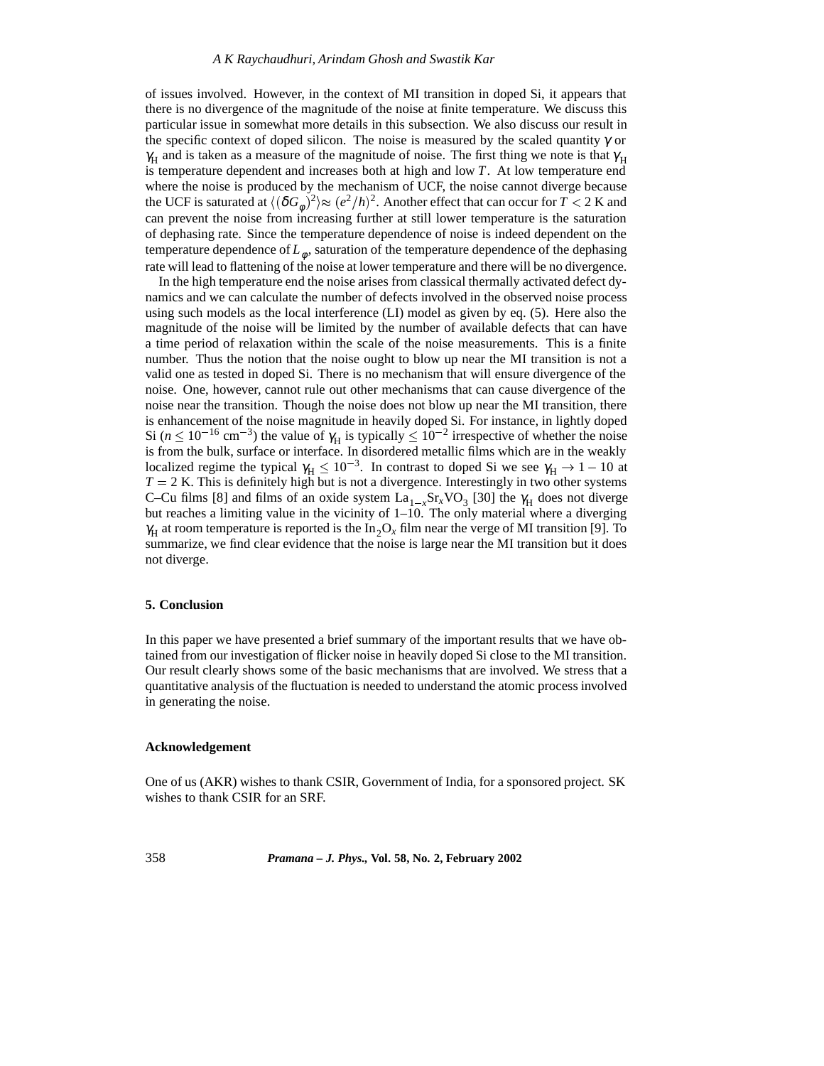of issues involved. However, in the context of MI transition in doped Si, it appears that there is no divergence of the magnitude of the noise at finite temperature. We discuss this particular issue in somewhat more details in this subsection. We also discuss our result in the specific context of doped silicon. The noise is measured by the scaled quantity  $\gamma$  or  $\gamma_H$  and is taken as a measure of the magnitude of noise. The first thing we note is that  $\gamma_H$ is temperature dependent and increases both at high and low *T*. At low temperature end where the noise is produced by the mechanism of UCF, the noise cannot diverge because the UCF is saturated at  $\langle (\delta G_{\phi})^2 \rangle \approx (e^2/h)^2$ . Another effect that can occur for  $T < 2$  K and can prevent the noise from increasing further at still lower temperature is the saturation of dephasing rate. Since the temperature dependence of noise is indeed dependent on the temperature dependence of  $L_{\phi}$ , saturation of the temperature dependence of the dephasing rate will lead to flattening of the noise at lower temperature and there will be no divergence.

In the high temperature end the noise arises from classical thermally activated defect dynamics and we can calculate the number of defects involved in the observed noise process using such models as the local interference (LI) model as given by eq. (5). Here also the magnitude of the noise will be limited by the number of available defects that can have a time period of relaxation within the scale of the noise measurements. This is a finite number. Thus the notion that the noise ought to blow up near the MI transition is not a valid one as tested in doped Si. There is no mechanism that will ensure divergence of the noise. One, however, cannot rule out other mechanisms that can cause divergence of the noise near the transition. Though the noise does not blow up near the MI transition, there is enhancement of the noise magnitude in heavily doped Si. For instance, in lightly doped Si  $(n \leq 10^{-16} \text{ cm}^{-3})$  the value of  $\gamma_H$  is typically  $\leq 10^{-2}$  irrespective of whether the noise is from the bulk, surface or interface. In disordered metallic films which are in the weakly localized regime the typical  $\gamma_H \leq 10^{-3}$ . In contrast to doped Si we see  $\gamma_H \rightarrow 1 - 10$  at  $T = 2$  K. This is definitely high but is not a divergence. Interestingly in two other systems C–Cu films [8] and films of an oxide system  $La_{1-x}Sr_xVO_3$  [30] the  $\gamma_H$  does not diverge but reaches a limiting value in the vicinity of 1–10. The only material where a diverging  $\gamma_H$  at room temperature is reported is the In<sub>2</sub>O<sub>x</sub> film near the verge of MI transition [9]. To summarize, we find clear evidence that the noise is large near the MI transition but it does not diverge.

## **5. Conclusion**

In this paper we have presented a brief summary of the important results that we have obtained from our investigation of flicker noise in heavily doped Si close to the MI transition. Our result clearly shows some of the basic mechanisms that are involved. We stress that a quantitative analysis of the fluctuation is needed to understand the atomic process involved in generating the noise.

## **Acknowledgement**

One of us (AKR) wishes to thank CSIR, Government of India, for a sponsored project. SK wishes to thank CSIR for an SRF.